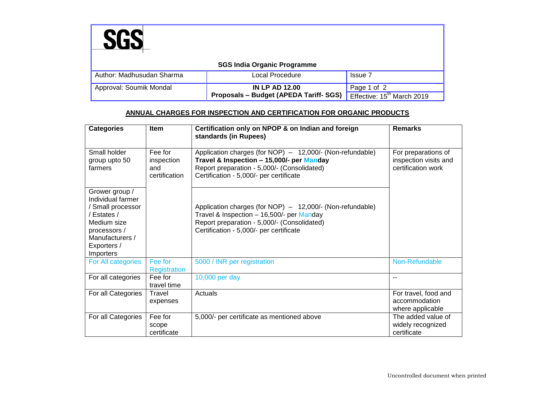| <b>SGS India Organic Programme</b> |                                        |                                        |  |  |  |  |
|------------------------------------|----------------------------------------|----------------------------------------|--|--|--|--|
| Author: Madhusudan Sharma          | Local Procedure                        | <b>Issue 7</b>                         |  |  |  |  |
| Approval: Soumik Mondal            | <b>IN LP AD 12.00</b>                  | Page 1 of 2                            |  |  |  |  |
|                                    | Proposals - Budget (APEDA Tariff- SGS) | Effective: 15 <sup>th</sup> March 2019 |  |  |  |  |

## **ANNUAL CHARGES FOR INSPECTION AND CERTIFICATION FOR ORGANIC PRODUCTS**

| <b>Categories</b>                                                                                                                                     | <b>Item</b>                                   | Certification only on NPOP & on Indian and foreign<br>standards (in Rupees)                                                                                                                      | <b>Remarks</b>                                                     |
|-------------------------------------------------------------------------------------------------------------------------------------------------------|-----------------------------------------------|--------------------------------------------------------------------------------------------------------------------------------------------------------------------------------------------------|--------------------------------------------------------------------|
| Small holder<br>group upto 50<br>farmers                                                                                                              | Fee for<br>inspection<br>and<br>certification | Application charges (for NOP) - 12,000/- (Non-refundable)<br>Travel & Inspection - 15,000/- per Manday<br>Report preparation - 5,000/- (Consolidated)<br>Certification - 5,000/- per certificate | For preparations of<br>inspection visits and<br>certification work |
| Grower group /<br>Individual farmer<br>/ Small processor<br>/ Estates /<br>Medium size<br>processors /<br>Manufacturers /<br>Exporters /<br>Importers |                                               | Application charges (for NOP) - 12,000/- (Non-refundable)<br>Travel & Inspection - 16,500/- per Manday<br>Report preparation - 5,000/- (Consolidated)<br>Certification - 5,000/- per certificate |                                                                    |
| For All categories                                                                                                                                    | Fee for<br>Registration                       | 5000 / INR per registration                                                                                                                                                                      | Non-Refundable                                                     |
| For all categories                                                                                                                                    | Fee for<br>travel time                        | 10,000 per day                                                                                                                                                                                   | $- -$                                                              |
| For all Categories                                                                                                                                    | Travel<br>expenses                            | Actuals                                                                                                                                                                                          | For travel, food and<br>accommodation<br>where applicable          |
| For all Categories                                                                                                                                    | Fee for<br>scope<br>certificate               | 5,000/- per certificate as mentioned above                                                                                                                                                       | The added value of<br>widely recognized<br>certificate             |